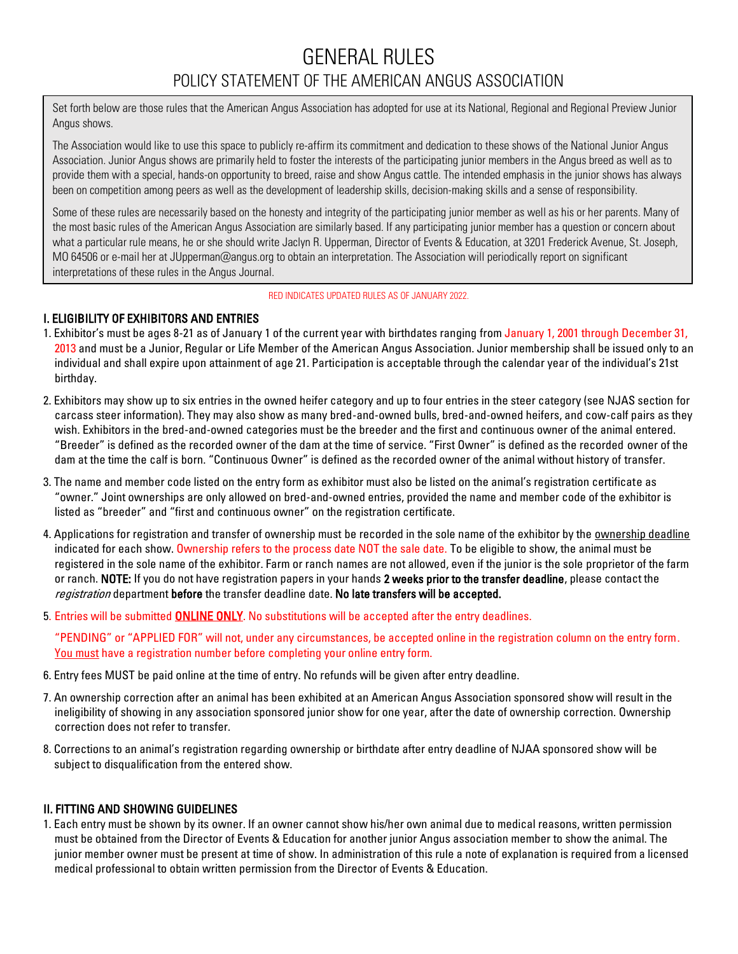# GENERAL RULES POLICY STATEMENT OF THE AMERICAN ANGUS ASSOCIATION

Set forth below are those rules that the American Angus Association has adopted for use at its National, Regional and Regional Preview Junior Angus shows.

The Association would like to use this space to publicly re-affirm its commitment and dedication to these shows of the National Junior Angus Association. Junior Angus shows are primarily held to foster the interests of the participating junior members in the Angus breed as well as to provide them with a special, hands-on opportunity to breed, raise and show Angus cattle. The intended emphasis in the junior shows has always been on competition among peers as well as the development of leadership skills, decision-making skills and a sense of responsibility.

Some of these rules are necessarily based on the honesty and integrity of the participating junior member as well as his or her parents. Many of the most basic rules of the American Angus Association are similarly based. If any participating junior member has a question or concern about what a particular rule means, he or she should write Jaclyn R. Upperman, Director of Events & Education, at 3201 Frederick Avenue, St. Joseph, MO 64506 or e-mail her at JUpperman@angus.org to obtain an interpretation. The Association will periodically report on significant interpretations of these rules in the Angus Journal.

#### RED INDICATES UPDATED RULES AS OF JANUARY 2022.

## I. ELIGIBILITY OF EXHIBITORS AND ENTRIES

- 1. Exhibitor's must be ages 8-21 as of January 1 of the current year with birthdates ranging from January 1, 2001 through December 31, 2013 and must be a Junior, Regular or Life Member of the American Angus Association. Junior membership shall be issued only to an individual and shall expire upon attainment of age 21. Participation is acceptable through the calendar year of the individual's 21st birthday.
- 2. Exhibitors may show up to six entries in the owned heifer category and up to four entries in the steer category (see NJAS section for carcass steer information). They may also show as many bred-and-owned bulls, bred-and-owned heifers, and cow-calf pairs as they wish. Exhibitors in the bred-and-owned categories must be the breeder and the first and continuous owner of the animal entered. "Breeder" is defined as the recorded owner of the dam at the time of service. "First Owner" is defined as the recorded owner of the dam at the time the calf is born. "Continuous Owner" is defined as the recorded owner of the animal without history of transfer.
- 3. The name and member code listed on the entry form as exhibitor must also be listed on the animal's registration certificate as "owner." Joint ownerships are only allowed on bred-and-owned entries, provided the name and member code of the exhibitor is listed as "breeder" and "first and continuous owner" on the registration certificate.
- 4. Applications for registration and transfer of ownership must be recorded in the sole name of the exhibitor by the ownership deadline indicated for each show. Ownership refers to the process date NOT the sale date. To be eligible to show, the animal must be registered in the sole name of the exhibitor. Farm or ranch names are not allowed, even if the junior is the sole proprietor of the farm or ranch. NOTE: If you do not have registration papers in your hands 2 weeks prior to the transfer deadline, please contact the registration department before the transfer deadline date. No late transfers will be accepted.
- 5. Entries will be submitted **ONLINE ONLY**. No substitutions will be accepted after the entry deadlines.

"PENDING" or "APPLIED FOR" will not, under any circumstances, be accepted online in the registration column on the entry form. You must have a registration number before completing your online entry form.

- 6. Entry fees MUST be paid online at the time of entry. No refunds will be given after entry deadline.
- 7. An ownership correction after an animal has been exhibited at an American Angus Association sponsored show will result in the ineligibility of showing in any association sponsored junior show for one year, after the date of ownership correction. Ownership correction does not refer to transfer.
- 8. Corrections to an animal's registration regarding ownership or birthdate after entry deadline of NJAA sponsored show will be subject to disqualification from the entered show.

# II. FITTING AND SHOWING GUIDELINES

1. Each entry must be shown by its owner. If an owner cannot show his/her own animal due to medical reasons, written permission must be obtained from the Director of Events & Education for another junior Angus association member to show the animal. The junior member owner must be present at time of show. In administration of this rule a note of explanation is required from a licensed medical professional to obtain written permission from the Director of Events & Education.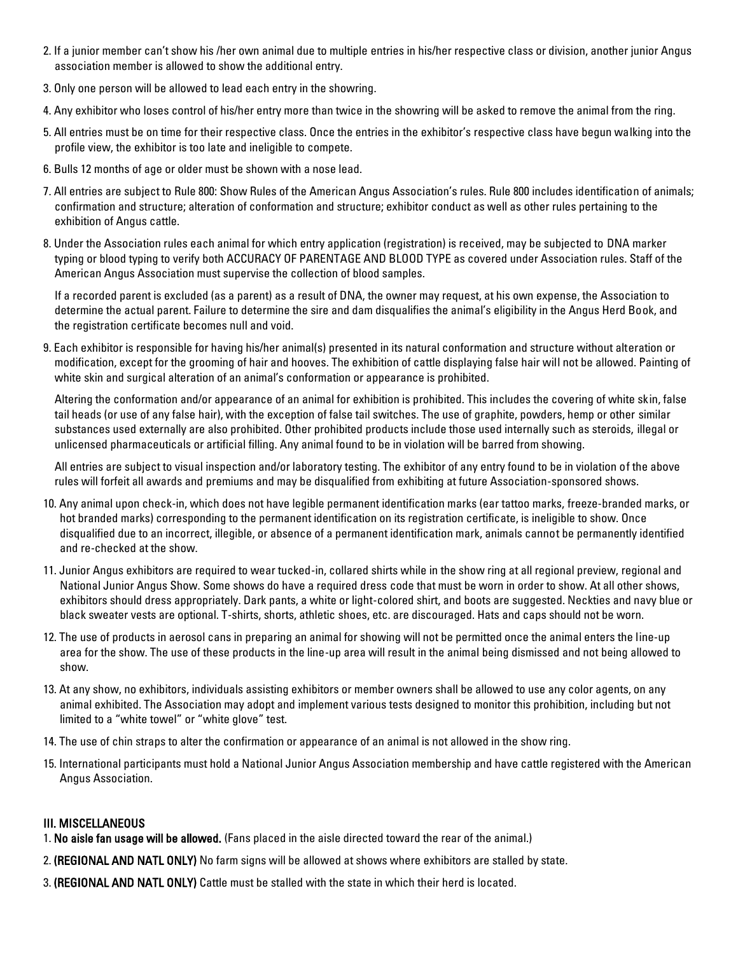- 2. If a junior member can't show his /her own animal due to multiple entries in his/her respective class or division, another junior Angus association member is allowed to show the additional entry.
- 3. Only one person will be allowed to lead each entry in the showring.
- 4. Any exhibitor who loses control of his/her entry more than twice in the showring will be asked to remove the animal from the ring.
- 5. All entries must be on time for their respective class. Once the entries in the exhibitor's respective class have begun walking into the profile view, the exhibitor is too late and ineligible to compete.
- 6. Bulls 12 months of age or older must be shown with a nose lead.
- 7. All entries are subject to Rule 800: Show Rules of the American Angus Association's rules. Rule 800 includes identification of animals; confirmation and structure; alteration of conformation and structure; exhibitor conduct as well as other rules pertaining to the exhibition of Angus cattle.
- 8. Under the Association rules each animal for which entry application (registration) is received, may be subjected to DNA marker typing or blood typing to verify both ACCURACY OF PARENTAGE AND BLOOD TYPE as covered under Association rules. Staff of the American Angus Association must supervise the collection of blood samples.

If a recorded parent is excluded (as a parent) as a result of DNA, the owner may request, at his own expense, the Association to determine the actual parent. Failure to determine the sire and dam disqualifies the animal's eligibility in the Angus Herd Book, and the registration certificate becomes null and void.

9. Each exhibitor is responsible for having his/her animal(s) presented in its natural conformation and structure without alteration or modification, except for the grooming of hair and hooves. The exhibition of cattle displaying false hair will not be allowed. Painting of white skin and surgical alteration of an animal's conformation or appearance is prohibited.

Altering the conformation and/or appearance of an animal for exhibition is prohibited. This includes the covering of white skin, false tail heads (or use of any false hair), with the exception of false tail switches. The use of graphite, powders, hemp or other similar substances used externally are also prohibited. Other prohibited products include those used internally such as steroids, illegal or unlicensed pharmaceuticals or artificial filling. Any animal found to be in violation will be barred from showing.

All entries are subject to visual inspection and/or laboratory testing. The exhibitor of any entry found to be in violation of the above rules will forfeit all awards and premiums and may be disqualified from exhibiting at future Association-sponsored shows.

- 10. Any animal upon check-in, which does not have legible permanent identification marks (ear tattoo marks, freeze-branded marks, or hot branded marks) corresponding to the permanent identification on its registration certificate, is ineligible to show. Once disqualified due to an incorrect, illegible, or absence of a permanent identification mark, animals cannot be permanently identified and re-checked at the show.
- 11. Junior Angus exhibitors are required to wear tucked-in, collared shirts while in the show ring at all regional preview, regional and National Junior Angus Show. Some shows do have a required dress code that must be worn in order to show. At all other shows, exhibitors should dress appropriately. Dark pants, a white or light-colored shirt, and boots are suggested. Neckties and navy blue or black sweater vests are optional. T-shirts, shorts, athletic shoes, etc. are discouraged. Hats and caps should not be worn.
- 12. The use of products in aerosol cans in preparing an animal for showing will not be permitted once the animal enters the line-up area for the show. The use of these products in the line-up area will result in the animal being dismissed and not being allowed to show.
- 13. At any show, no exhibitors, individuals assisting exhibitors or member owners shall be allowed to use any color agents, on any animal exhibited. The Association may adopt and implement various tests designed to monitor this prohibition, including but not limited to a "white towel" or "white glove" test.
- 14. The use of chin straps to alter the confirmation or appearance of an animal is not allowed in the show ring.
- 15. International participants must hold a National Junior Angus Association membership and have cattle registered with the American Angus Association.

### III. MISCELLANEOUS

- 1. No aisle fan usage will be allowed. (Fans placed in the aisle directed toward the rear of the animal.)
- 2. (REGIONAL AND NATL ONLY) No farm signs will be allowed at shows where exhibitors are stalled by state.
- 3. (REGIONAL AND NATL ONLY) Cattle must be stalled with the state in which their herd is located.